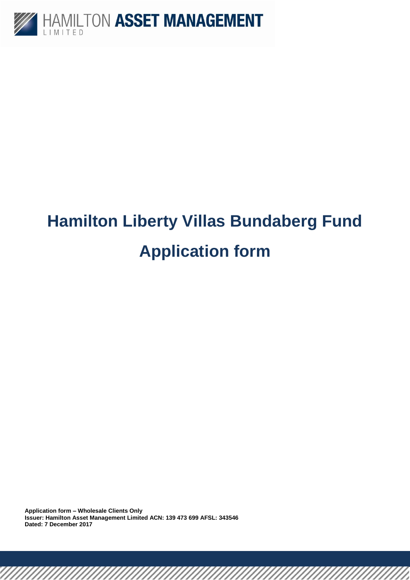

## **Hamilton Liberty Villas Bundaberg Fund Application form**

**Application form – Wholesale Clients Only Issuer: Hamilton Asset Management Limited ACN: 139 473 699 AFSL: 343546 Dated: 7 December 2017**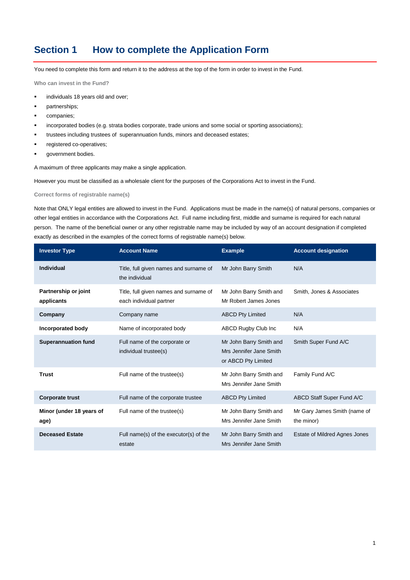### **Section 1 How to complete the Application Form**

You need to complete this form and return it to the address at the top of the form in order to invest in the Fund.

**Who can invest in the Fund?**

- **individuals 18 years old and over:**
- partnerships;
- companies;
- incorporated bodies (e.g. strata bodies corporate, trade unions and some social or sporting associations);
- trustees including trustees of superannuation funds, minors and deceased estates;
- registered co-operatives;
- government bodies.

A maximum of three applicants may make a single application.

However you must be classified as a wholesale client for the purposes of the Corporations Act to invest in the Fund.

**Correct forms of registrable name(s)**

Note that ONLY legal entities are allowed to invest in the Fund. Applications must be made in the name(s) of natural persons, companies or other legal entities in accordance with the Corporations Act. Full name including first, middle and surname is required for each natural person. The name of the beneficial owner or any other registrable name may be included by way of an account designation if completed exactly as described in the examples of the correct forms of registrable name(s) below.

| <b>Investor Type</b>               | <b>Account Name</b>                                               | <b>Example</b>                                                            | <b>Account designation</b>                 |
|------------------------------------|-------------------------------------------------------------------|---------------------------------------------------------------------------|--------------------------------------------|
| Individual                         | Title, full given names and surname of<br>the individual          | Mr John Barry Smith                                                       | N/A                                        |
| Partnership or joint<br>applicants | Title, full given names and surname of<br>each individual partner | Mr John Barry Smith and<br>Mr Robert James Jones                          | Smith, Jones & Associates                  |
| Company                            | Company name                                                      | <b>ABCD Pty Limited</b>                                                   | N/A                                        |
| Incorporated body                  | Name of incorporated body                                         | <b>ABCD Rugby Club Inc.</b>                                               | N/A                                        |
| <b>Superannuation fund</b>         | Full name of the corporate or<br>individual trustee(s)            | Mr John Barry Smith and<br>Mrs Jennifer Jane Smith<br>or ABCD Pty Limited | Smith Super Fund A/C                       |
| <b>Trust</b>                       | Full name of the trustee(s)                                       | Mr John Barry Smith and<br>Mrs Jennifer Jane Smith                        | Family Fund A/C                            |
| <b>Corporate trust</b>             | Full name of the corporate trustee                                | <b>ABCD Pty Limited</b>                                                   | <b>ABCD Staff Super Fund A/C</b>           |
| Minor (under 18 years of<br>age)   | Full name of the trustee(s)                                       | Mr John Barry Smith and<br>Mrs Jennifer Jane Smith                        | Mr Gary James Smith (name of<br>the minor) |
| <b>Deceased Estate</b>             | Full name(s) of the executor(s) of the<br>estate                  | Mr John Barry Smith and<br>Mrs Jennifer Jane Smith                        | Estate of Mildred Agnes Jones              |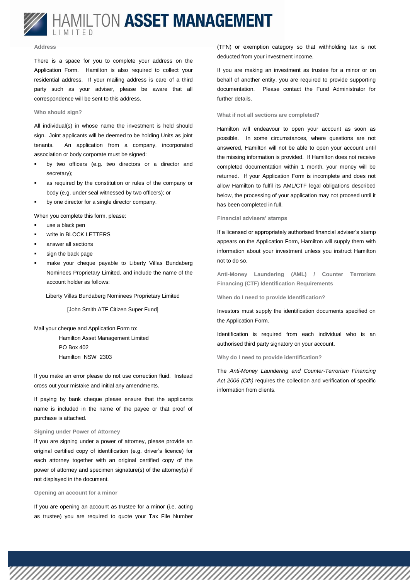

#### **Address**

There is a space for you to complete your address on the Application Form. Hamilton is also required to collect your residential address. If your mailing address is care of a third party such as your adviser, please be aware that all correspondence will be sent to this address.

#### **Who should sign?**

All individual(s) in whose name the investment is held should sign. Joint applicants will be deemed to be holding Units as joint tenants. An application from a company, incorporated association or body corporate must be signed:

- **•** by two officers (e.g. two directors or a director and secretary);
- as required by the constitution or rules of the company or body (e.g. under seal witnessed by two officers); or
- by one director for a single director company.
- When you complete this form, please:
- use a black pen
- write in BLOCK LETTERS
- answer all sections
- sign the back page
- make your cheque payable to Liberty Villas Bundaberg Nominees Proprietary Limited, and include the name of the account holder as follows:

Liberty Villas Bundaberg Nominees Proprietary Limited

[John Smith ATF Citizen Super Fund]

Mail your cheque and Application Form to:

Hamilton Asset Management Limited PO Box 402 Hamilton NSW 2303

If you make an error please do not use correction fluid. Instead cross out your mistake and initial any amendments.

If paying by bank cheque please ensure that the applicants name is included in the name of the payee or that proof of purchase is attached.

#### **Signing under Power of Attorney**

If you are signing under a power of attorney, please provide an original certified copy of identification (e.g. driver's licence) for each attorney together with an original certified copy of the power of attorney and specimen signature(s) of the attorney(s) if not displayed in the document.

**Opening an account for a minor**

If you are opening an account as trustee for a minor (i.e. acting as trustee) you are required to quote your Tax File Number (TFN) or exemption category so that withholding tax is not deducted from your investment income.

If you are making an investment as trustee for a minor or on behalf of another entity, you are required to provide supporting documentation. Please contact the Fund Administrator for further details.

#### **What if not all sections are completed?**

Hamilton will endeavour to open your account as soon as possible. In some circumstances, where questions are not answered, Hamilton will not be able to open your account until the missing information is provided. If Hamilton does not receive completed documentation within 1 month, your money will be returned. If your Application Form is incomplete and does not allow Hamilton to fulfil its AML/CTF legal obligations described below, the processing of your application may not proceed until it has been completed in full.

#### **Financial advisers' stamps**

If a licensed or appropriately authorised financial adviser's stamp appears on the Application Form, Hamilton will supply them with information about your investment unless you instruct Hamilton not to do so.

**Anti-Money Laundering (AML) / Counter Terrorism Financing (CTF) Identification Requirements**

**When do I need to provide Identification?**

Investors must supply the identification documents specified on the Application Form.

Identification is required from each individual who is an authorised third party signatory on your account.

**Why do I need to provide identification?**

The *Anti-Money Laundering and Counter-Terrorism Financing Act 2006 (Cth)* requires the collection and verification of specific information from clients.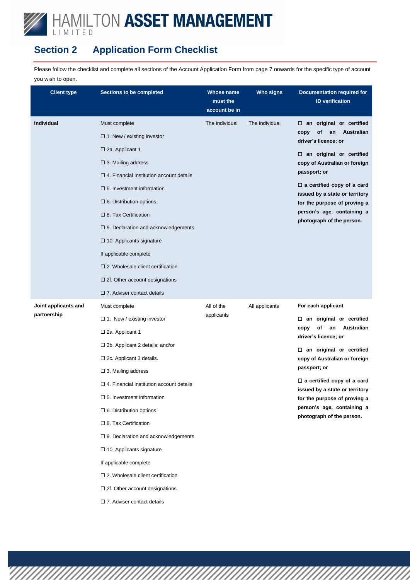## **Section 2 Application Form Checklist**

Please follow the checklist and complete all sections of the Account Application Form from page 7 onwards for the specific type of account you wish to open.

| <b>Client type</b>   | <b>Sections to be completed</b>                 | <b>Whose name</b><br>must the<br>account be in | <b>Who signs</b> | <b>Documentation required for</b><br><b>ID</b> verification         |
|----------------------|-------------------------------------------------|------------------------------------------------|------------------|---------------------------------------------------------------------|
| Individual           | Must complete                                   | The individual                                 | The individual   | $\square$ an original or certified                                  |
|                      | $\Box$ 1. New / existing investor               |                                                |                  | of<br>Australian<br>an<br>copy                                      |
|                      | $\Box$ 2a. Applicant 1                          |                                                |                  | driver's licence; or                                                |
|                      | $\Box$ 3. Mailing address                       |                                                |                  | $\square$ an original or certified<br>copy of Australian or foreign |
|                      | $\Box$ 4. Financial Institution account details |                                                |                  | passport; or                                                        |
|                      | $\square$ 5. Investment information             |                                                |                  | $\Box$ a certified copy of a card<br>issued by a state or territory |
|                      | $\Box$ 6. Distribution options                  |                                                |                  | for the purpose of proving a                                        |
|                      | $\Box$ 8. Tax Certification                     |                                                |                  | person's age, containing a                                          |
|                      | $\Box$ 9. Declaration and acknowledgements      |                                                |                  | photograph of the person.                                           |
|                      | $\Box$ 10. Applicants signature                 |                                                |                  |                                                                     |
|                      | If applicable complete                          |                                                |                  |                                                                     |
|                      | $\square$ 2. Wholesale client certification     |                                                |                  |                                                                     |
|                      | $\Box$ 2f. Other account designations           |                                                |                  |                                                                     |
|                      | $\Box$ 7. Adviser contact details               |                                                |                  |                                                                     |
| Joint applicants and | Must complete                                   | All of the                                     | All applicants   | For each applicant                                                  |
| partnership          | $\Box$ 1. New / existing investor               | applicants                                     |                  | $\square$ an original or certified                                  |
|                      | $\square$ 2a. Applicant 1                       |                                                |                  | Australian<br>of<br>an<br>copy<br>driver's licence; or              |
|                      | $\Box$ 2b. Applicant 2 details; and/or          |                                                |                  | $\square$ an original or certified                                  |
|                      | $\Box$ 2c. Applicant 3 details.                 |                                                |                  | copy of Australian or foreign                                       |
|                      | $\Box$ 3. Mailing address                       |                                                |                  | passport; or                                                        |
|                      | $\Box$ 4. Financial Institution account details |                                                |                  | $\Box$ a certified copy of a card<br>issued by a state or territory |
|                      | $\square$ 5. Investment information             |                                                |                  | for the purpose of proving a                                        |
|                      | $\square$ 6. Distribution options               |                                                |                  | person's age, containing a<br>photograph of the person.             |
|                      | $\Box$ 8. Tax Certification                     |                                                |                  |                                                                     |
|                      | $\Box$ 9. Declaration and acknowledgements      |                                                |                  |                                                                     |
|                      | $\Box$ 10. Applicants signature                 |                                                |                  |                                                                     |
|                      | If applicable complete                          |                                                |                  |                                                                     |
|                      | $\square$ 2. Wholesale client certification     |                                                |                  |                                                                     |
|                      | $\Box$ 2f. Other account designations           |                                                |                  |                                                                     |
|                      | $\square$ 7. Adviser contact details            |                                                |                  |                                                                     |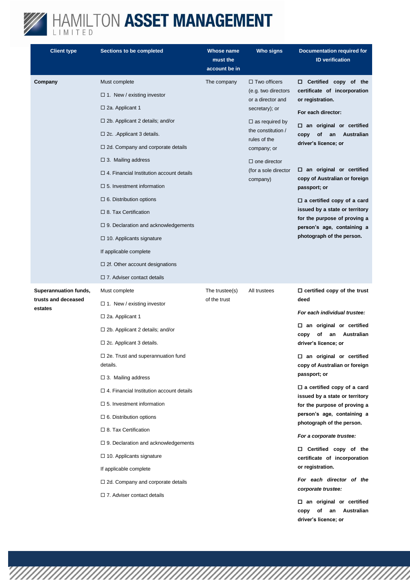

| <b>Client type</b>             | <b>Sections to be completed</b>                      | Whose name<br>must the<br>account be in | Who signs                                | <b>Documentation required for</b><br><b>ID</b> verification                               |
|--------------------------------|------------------------------------------------------|-----------------------------------------|------------------------------------------|-------------------------------------------------------------------------------------------|
| Company                        | Must complete                                        | The company                             | $\Box$ Two officers                      | $\Box$ Certified copy of the                                                              |
|                                | $\Box$ 1. New / existing investor                    |                                         | (e.g. two directors<br>or a director and | certificate of incorporation<br>or registration.                                          |
|                                | $\square$ 2a. Applicant 1                            |                                         | secretary); or                           | For each director:                                                                        |
|                                | $\Box$ 2b. Applicant 2 details; and/or               |                                         | $\Box$ as required by                    | $\square$ an original or certified                                                        |
|                                | $\Box$ 2c. . Applicant 3 details.                    |                                         | the constitution /<br>rules of the       | <b>Australian</b><br>οf<br>an<br>copy                                                     |
|                                | $\Box$ 2d. Company and corporate details             |                                         | company; or                              | driver's licence; or                                                                      |
|                                | $\Box$ 3. Mailing address                            |                                         | $\Box$ one director                      |                                                                                           |
|                                | $\Box$ 4. Financial Institution account details      |                                         | (for a sole director<br>company)         | $\square$ an original or certified<br>copy of Australian or foreign                       |
|                                | $\Box$ 5. Investment information                     |                                         |                                          | passport; or                                                                              |
|                                | $\Box$ 6. Distribution options                       |                                         |                                          | $\Box$ a certified copy of a card                                                         |
|                                | $\Box$ 8. Tax Certification                          |                                         |                                          | issued by a state or territory<br>for the purpose of proving a                            |
|                                | $\Box$ 9. Declaration and acknowledgements           |                                         |                                          | person's age, containing a                                                                |
|                                | $\Box$ 10. Applicants signature                      |                                         |                                          | photograph of the person.                                                                 |
|                                | If applicable complete                               |                                         |                                          |                                                                                           |
|                                | $\Box$ 2f. Other account designations                |                                         |                                          |                                                                                           |
|                                | $\Box$ 7. Adviser contact details                    |                                         |                                          |                                                                                           |
| Superannuation funds,          | Must complete                                        | The trustee(s)<br>of the trust          | All trustees                             | $\Box$ certified copy of the trust                                                        |
| trusts and deceased<br>estates | $\Box$ 1. New / existing investor                    |                                         |                                          | deed                                                                                      |
|                                | $\square$ 2a. Applicant 1                            |                                         |                                          | For each individual trustee:                                                              |
|                                | $\Box$ 2b. Applicant 2 details; and/or               |                                         |                                          | $\square$ an original or certified<br>Australian<br>copy<br>οf<br>an                      |
|                                | $\Box$ 2c. Applicant 3 details.                      |                                         |                                          | driver's licence; or                                                                      |
|                                | $\Box$ 2e. Trust and superannuation fund<br>details. |                                         |                                          | $\square$ an original or certified<br>copy of Australian or foreign                       |
|                                | $\Box$ 3. Mailing address                            |                                         |                                          | passport; or                                                                              |
|                                | $\Box$ 4. Financial Institution account details      |                                         |                                          | $\Box$ a certified copy of a card<br>issued by a state or territory                       |
|                                | $\Box$ 5. Investment information                     |                                         |                                          | for the purpose of proving a                                                              |
|                                | $\square$ 6. Distribution options                    |                                         |                                          | person's age, containing a                                                                |
|                                | $\Box$ 8. Tax Certification                          |                                         |                                          | photograph of the person.                                                                 |
|                                | $\Box$ 9. Declaration and acknowledgements           |                                         |                                          | For a corporate trustee:                                                                  |
|                                | $\Box$ 10. Applicants signature                      |                                         |                                          | $\Box$ Certified copy of the<br>certificate of incorporation                              |
|                                | If applicable complete                               |                                         |                                          | or registration.                                                                          |
|                                | $\Box$ 2d. Company and corporate details             |                                         |                                          | For each director of the<br>corporate trustee:                                            |
|                                | $\square$ 7. Adviser contact details                 |                                         |                                          | $\Box$ an original or certified<br>of<br>an<br>Australian<br>copy<br>driver's licence; or |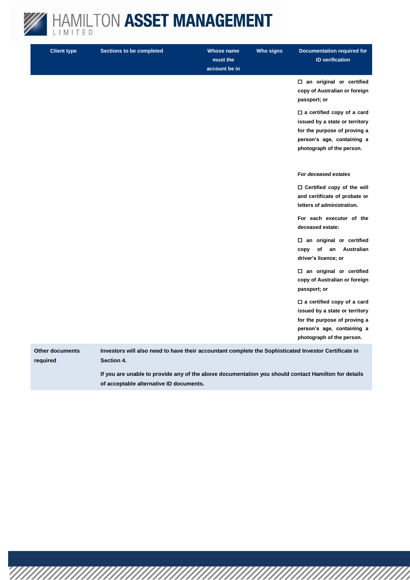

**Client type Sections to be completed Whose name must the account be in Who signs Documentation required for ID verification an original or certified copy of Australian or foreign passport; or a certified copy of a card issued by a state or territory for the purpose of proving a person's age, containing a photograph of the person.** *For deceased estates* **Certified copy of the will and certificate of probate or letters of administration. For each executor of the deceased estate: an original or certified copy of an Australian driver's licence; or an original or certified copy of Australian or foreign passport; or a certified copy of a card issued by a state or territory for the purpose of proving a person's age, containing a photograph of the person. Other documents required Investors will also need to have their accountant complete the Sophisticated Investor Certificate in Section 4.**

**If you are unable to provide any of the above documentation you should contact Hamilton for details of acceptable alternative ID documents.**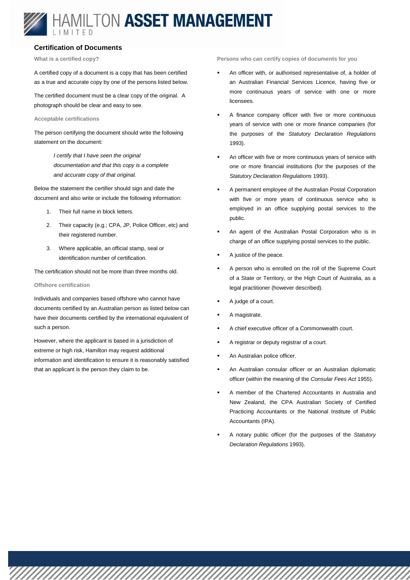#### **Certification of Documents**

**What is a certified copy?**

A certified copy of a document is a copy that has been certified as a true and accurate copy by one of the persons listed below.

The certified document must be a clear copy of the original. A photograph should be clear and easy to see.

#### **Acceptable certifications**

The person certifying the document should write the following statement on the document:

> *I certify that I have seen the original documentation and that this copy is a complete and accurate copy of that original.*

Below the statement the certifier should sign and date the document and also write or include the following information:

- 1. Their full name in block letters.
- 2. Their capacity (e.g.; CPA, JP, Police Officer, etc) and their registered number.
- 3. Where applicable, an official stamp, seal or identification number of certification.

The certification should not be more than three months old.

#### **Offshore certification**

Individuals and companies based offshore who cannot have documents certified by an Australian person as listed below can have their documents certified by the international equivalent of such a person.

However, where the applicant is based in a jurisdiction of extreme or high risk, Hamilton may request additional information and identification to ensure it is reasonably satisfied that an applicant is the person they claim to be.

**Persons who can certify copies of documents for you**

- An officer with, or authorised representative of, a holder of an Australian Financial Services Licence, having five or more continuous years of service with one or more licensees.
- A finance company officer with five or more continuous years of service with one or more finance companies (for the purposes of the *Statutory Declaration Regulations* 1993).
- An officer with five or more continuous years of service with one or more financial institutions (for the purposes of the *Statutory Declaration Regulations* 1993).
- A permanent employee of the Australian Postal Corporation with five or more years of continuous service who is employed in an office supplying postal services to the public.
- An agent of the Australian Postal Corporation who is in charge of an office supplying postal services to the public.
- A justice of the peace.
- A person who is enrolled on the roll of the Supreme Court of a State or Territory, or the High Court of Australia, as a legal practitioner (however described).
- A judge of a court.
- A magistrate.
- A chief executive officer of a Commonwealth court.
- A registrar or deputy registrar of a court.
- An Australian police officer.
- An Australian consular officer or an Australian diplomatic officer (within the meaning of the *Consular Fees Act* 1955).
- A member of the Chartered Accountants in Australia and New Zealand, the CPA Australian Society of Certified Practicing Accountants or the National Institute of Public Accountants (IPA).
- A notary public officer (for the purposes of the *Statutory Declaration Regulations* 1993).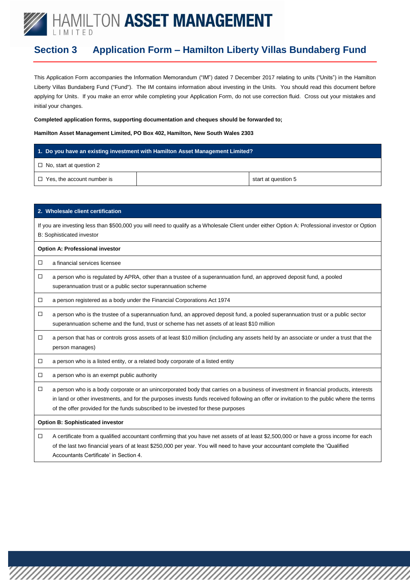### **Section 3 Application Form – Hamilton Liberty Villas Bundaberg Fund**

This Application Form accompanies the Information Memorandum ("IM") dated 7 December 2017 relating to units ("Units") in the Hamilton Liberty Villas Bundaberg Fund ("Fund"). The IM contains information about investing in the Units. You should read this document before applying for Units. If you make an error while completing your Application Form, do not use correction fluid. Cross out your mistakes and initial your changes.

#### **Completed application forms, supporting documentation and cheques should be forwarded to;**

#### **Hamilton Asset Management Limited, PO Box 402, Hamilton, New South Wales 2303**

#### **1. Do you have an existing investment with Hamilton Asset Management Limited?**

□ No, start at question 2

 $\Box$  Yes, the account number is  $\Box$  Yes, the account number is

|        | 2. Wholesale client certification                                                                                                                                                                                                                                                                                                                                    |
|--------|----------------------------------------------------------------------------------------------------------------------------------------------------------------------------------------------------------------------------------------------------------------------------------------------------------------------------------------------------------------------|
|        | If you are investing less than \$500,000 you will need to qualify as a Wholesale Client under either Option A: Professional investor or Option<br><b>B: Sophisticated investor</b>                                                                                                                                                                                   |
|        | <b>Option A: Professional investor</b>                                                                                                                                                                                                                                                                                                                               |
| □      | a financial services licensee                                                                                                                                                                                                                                                                                                                                        |
| □      | a person who is regulated by APRA, other than a trustee of a superannuation fund, an approved deposit fund, a pooled<br>superannuation trust or a public sector superannuation scheme                                                                                                                                                                                |
| □      | a person registered as a body under the Financial Corporations Act 1974                                                                                                                                                                                                                                                                                              |
| □      | a person who is the trustee of a superannuation fund, an approved deposit fund, a pooled superannuation trust or a public sector<br>superannuation scheme and the fund, trust or scheme has net assets of at least \$10 million                                                                                                                                      |
| □      | a person that has or controls gross assets of at least \$10 million (including any assets held by an associate or under a trust that the<br>person manages)                                                                                                                                                                                                          |
| □      | a person who is a listed entity, or a related body corporate of a listed entity                                                                                                                                                                                                                                                                                      |
| □      | a person who is an exempt public authority                                                                                                                                                                                                                                                                                                                           |
| $\Box$ | a person who is a body corporate or an unincorporated body that carries on a business of investment in financial products, interests<br>in land or other investments, and for the purposes invests funds received following an offer or invitation to the public where the terms<br>of the offer provided for the funds subscribed to be invested for these purposes |
|        | <b>Option B: Sophisticated investor</b>                                                                                                                                                                                                                                                                                                                              |
| □      | A certificate from a qualified accountant confirming that you have net assets of at least \$2,500,000 or have a gross income for each<br>of the last two financial years of at least \$250,000 per year. You will need to have your accountant complete the 'Qualified<br>Accountants Certificate' in Section 4.                                                     |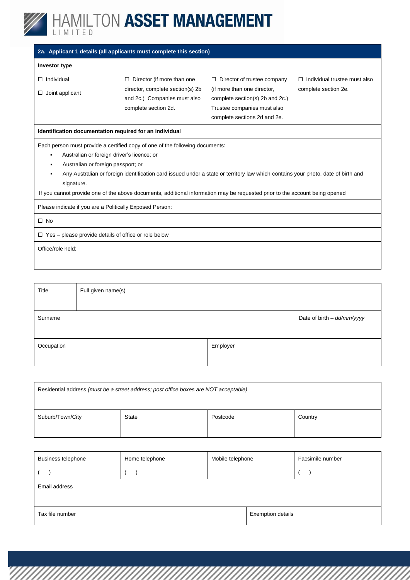

| 2a. Applicant 1 details (all applicants must complete this section)                                                                                                                                                                                                                                                                                                                                                                                                      |                                                                                                                               |                                                                                                                                                                     |                                                             |  |  |
|--------------------------------------------------------------------------------------------------------------------------------------------------------------------------------------------------------------------------------------------------------------------------------------------------------------------------------------------------------------------------------------------------------------------------------------------------------------------------|-------------------------------------------------------------------------------------------------------------------------------|---------------------------------------------------------------------------------------------------------------------------------------------------------------------|-------------------------------------------------------------|--|--|
| <b>Investor type</b>                                                                                                                                                                                                                                                                                                                                                                                                                                                     |                                                                                                                               |                                                                                                                                                                     |                                                             |  |  |
| Individual<br>□<br>Joint applicant<br>$\Box$                                                                                                                                                                                                                                                                                                                                                                                                                             | $\Box$ Director (if more than one<br>director, complete section(s) 2b<br>and 2c.) Companies must also<br>complete section 2d. | $\Box$ Director of trustee company<br>(if more than one director,<br>complete section(s) 2b and 2c.)<br>Trustee companies must also<br>complete sections 2d and 2e. | $\Box$ Individual trustee must also<br>complete section 2e. |  |  |
|                                                                                                                                                                                                                                                                                                                                                                                                                                                                          | Identification documentation required for an individual                                                                       |                                                                                                                                                                     |                                                             |  |  |
| Each person must provide a certified copy of one of the following documents:<br>Australian or foreign driver's licence; or<br>$\blacksquare$<br>Australian or foreign passport; or<br>٠<br>Any Australian or foreign identification card issued under a state or territory law which contains your photo, date of birth and<br>signature.<br>If you cannot provide one of the above documents, additional information may be requested prior to the account being opened |                                                                                                                               |                                                                                                                                                                     |                                                             |  |  |
| Please indicate if you are a Politically Exposed Person:<br>$\Box$ No                                                                                                                                                                                                                                                                                                                                                                                                    |                                                                                                                               |                                                                                                                                                                     |                                                             |  |  |
| Yes – please provide details of office or role below<br>$\Box$                                                                                                                                                                                                                                                                                                                                                                                                           |                                                                                                                               |                                                                                                                                                                     |                                                             |  |  |
| Office/role held:                                                                                                                                                                                                                                                                                                                                                                                                                                                        |                                                                                                                               |                                                                                                                                                                     |                                                             |  |  |

| Title      | Full given name(s) |          |                            |
|------------|--------------------|----------|----------------------------|
|            |                    |          |                            |
| Surname    |                    |          | Date of birth - dd/mm/yyyy |
|            |                    |          |                            |
| Occupation |                    | Employer |                            |
|            |                    |          |                            |

| Residential address (must be a street address; post office boxes are NOT acceptable) |       |          |         |
|--------------------------------------------------------------------------------------|-------|----------|---------|
| Suburb/Town/City                                                                     | State | Postcode | Country |

| <b>Business telephone</b> | Home telephone | Mobile telephone |                          | Facsimile number |  |
|---------------------------|----------------|------------------|--------------------------|------------------|--|
|                           |                |                  |                          |                  |  |
| Email address             |                |                  |                          |                  |  |
|                           |                |                  |                          |                  |  |
| Tax file number           |                |                  | <b>Exemption details</b> |                  |  |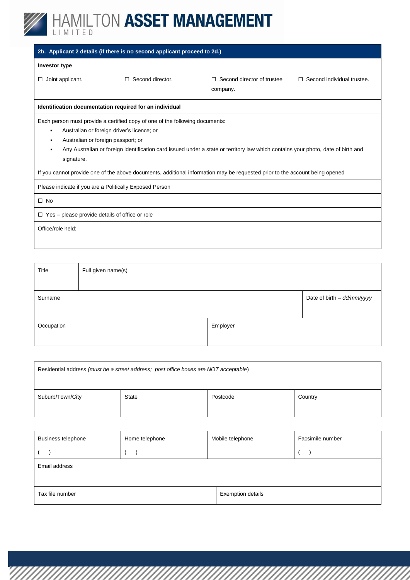

|                                                                                                                                                                                                                                                                                                                                                                                                                                                   | 2b. Applicant 2 details (if there is no second applicant proceed to 2d.) |                                             |                                   |  |  |
|---------------------------------------------------------------------------------------------------------------------------------------------------------------------------------------------------------------------------------------------------------------------------------------------------------------------------------------------------------------------------------------------------------------------------------------------------|--------------------------------------------------------------------------|---------------------------------------------|-----------------------------------|--|--|
| Investor type                                                                                                                                                                                                                                                                                                                                                                                                                                     |                                                                          |                                             |                                   |  |  |
| Joint applicant.<br>$\Box$                                                                                                                                                                                                                                                                                                                                                                                                                        | $\Box$ Second director.                                                  | Second director of trustee<br>П<br>company. | $\Box$ Second individual trustee. |  |  |
|                                                                                                                                                                                                                                                                                                                                                                                                                                                   | Identification documentation required for an individual                  |                                             |                                   |  |  |
| Each person must provide a certified copy of one of the following documents:<br>Australian or foreign driver's licence; or<br>Australian or foreign passport; or<br>Any Australian or foreign identification card issued under a state or territory law which contains your photo, date of birth and<br>signature.<br>If you cannot provide one of the above documents, additional information may be requested prior to the account being opened |                                                                          |                                             |                                   |  |  |
| Please indicate if you are a Politically Exposed Person                                                                                                                                                                                                                                                                                                                                                                                           |                                                                          |                                             |                                   |  |  |
| $\square$ No                                                                                                                                                                                                                                                                                                                                                                                                                                      |                                                                          |                                             |                                   |  |  |
| Yes – please provide details of office or role<br>$\Box$                                                                                                                                                                                                                                                                                                                                                                                          |                                                                          |                                             |                                   |  |  |
| Office/role held:                                                                                                                                                                                                                                                                                                                                                                                                                                 |                                                                          |                                             |                                   |  |  |

| Title      | Full given name(s) |          |                            |
|------------|--------------------|----------|----------------------------|
|            |                    |          |                            |
| Surname    |                    |          | Date of birth - dd/mm/yyyy |
|            |                    |          |                            |
| Occupation |                    | Employer |                            |
|            |                    |          |                            |

| Residential address (must be a street address; post office boxes are NOT acceptable) |              |          |         |  |
|--------------------------------------------------------------------------------------|--------------|----------|---------|--|
| Suburb/Town/City                                                                     | <b>State</b> | Postcode | Country |  |

| Business telephone | Home telephone | Mobile telephone         | Facsimile number |
|--------------------|----------------|--------------------------|------------------|
|                    |                |                          |                  |
| Email address      |                |                          |                  |
|                    |                |                          |                  |
| Tax file number    |                | <b>Exemption details</b> |                  |
|                    |                |                          |                  |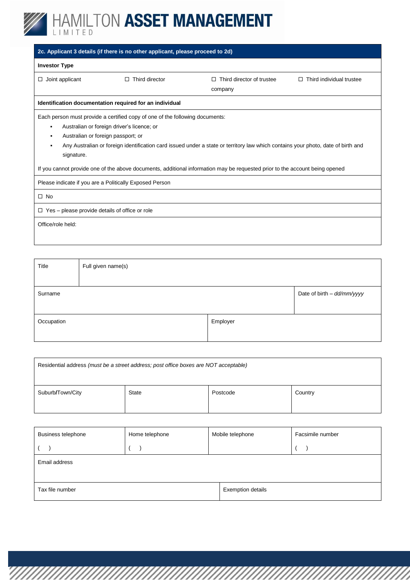

|                                                                                                                                                                                                                                                                                                                                                                                                                                                                  | 2c. Applicant 3 details (if there is no other applicant, please proceed to 2d) |                                      |                               |
|------------------------------------------------------------------------------------------------------------------------------------------------------------------------------------------------------------------------------------------------------------------------------------------------------------------------------------------------------------------------------------------------------------------------------------------------------------------|--------------------------------------------------------------------------------|--------------------------------------|-------------------------------|
| <b>Investor Type</b>                                                                                                                                                                                                                                                                                                                                                                                                                                             |                                                                                |                                      |                               |
| Joint applicant<br>□                                                                                                                                                                                                                                                                                                                                                                                                                                             | Third director                                                                 | Third director of trustee<br>company | Third individual trustee<br>П |
|                                                                                                                                                                                                                                                                                                                                                                                                                                                                  | Identification documentation required for an individual                        |                                      |                               |
| Each person must provide a certified copy of one of the following documents:<br>Australian or foreign driver's licence; or<br>٠<br>Australian or foreign passport; or<br>٠<br>Any Australian or foreign identification card issued under a state or territory law which contains your photo, date of birth and<br>٠<br>signature.<br>If you cannot provide one of the above documents, additional information may be requested prior to the account being opened |                                                                                |                                      |                               |
| Please indicate if you are a Politically Exposed Person                                                                                                                                                                                                                                                                                                                                                                                                          |                                                                                |                                      |                               |
| $\Box$ No                                                                                                                                                                                                                                                                                                                                                                                                                                                        |                                                                                |                                      |                               |
| $\Box$ Yes – please provide details of office or role                                                                                                                                                                                                                                                                                                                                                                                                            |                                                                                |                                      |                               |
| Office/role held:                                                                                                                                                                                                                                                                                                                                                                                                                                                |                                                                                |                                      |                               |

| Title      | Full given name(s) |          |                            |
|------------|--------------------|----------|----------------------------|
|            |                    |          |                            |
| Surname    |                    |          | Date of birth - dd/mm/yyyy |
|            |                    |          |                            |
| Occupation |                    | Employer |                            |
|            |                    |          |                            |

| Residential address (must be a street address; post office boxes are NOT acceptable) |              |          |         |
|--------------------------------------------------------------------------------------|--------------|----------|---------|
| Suburb/Town/City                                                                     | <b>State</b> | Postcode | Country |

| <b>Business telephone</b> | Home telephone | Mobile telephone         | Facsimile number |
|---------------------------|----------------|--------------------------|------------------|
|                           |                |                          |                  |
| Email address             |                |                          |                  |
|                           |                |                          |                  |
| Tax file number           |                | <b>Exemption details</b> |                  |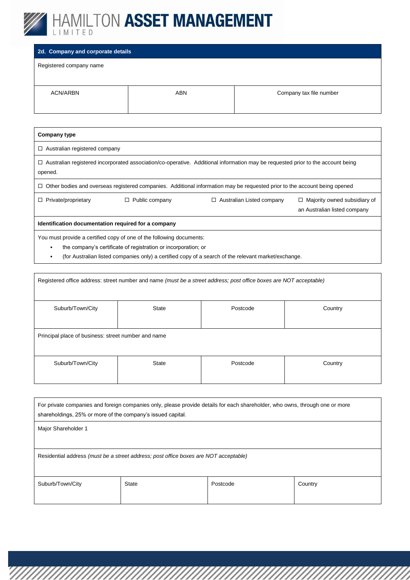![](_page_11_Picture_0.jpeg)

#### **2d. Company and corporate details**

Registered company name

 $\mathsf{r}$ 

| ACN/ARBN | ABN | Company tax file number |
|----------|-----|-------------------------|
|          |     |                         |

| Company type                                        |                                                                                                                                        |                                                                                                                                                                                                                                  |                                                                     |
|-----------------------------------------------------|----------------------------------------------------------------------------------------------------------------------------------------|----------------------------------------------------------------------------------------------------------------------------------------------------------------------------------------------------------------------------------|---------------------------------------------------------------------|
| $\Box$ Australian registered company                |                                                                                                                                        |                                                                                                                                                                                                                                  |                                                                     |
| opened.                                             |                                                                                                                                        | $\Box$ Australian registered incorporated association/co-operative. Additional information may be requested prior to the account being                                                                                           |                                                                     |
| □                                                   |                                                                                                                                        | Other bodies and overseas registered companies. Additional information may be requested prior to the account being opened                                                                                                        |                                                                     |
| Private/proprietary                                 | Public company<br>□                                                                                                                    | $\Box$ Australian Listed company                                                                                                                                                                                                 | $\Box$ Majority owned subsidiary of<br>an Australian listed company |
| Identification documentation required for a company |                                                                                                                                        |                                                                                                                                                                                                                                  |                                                                     |
| ٠                                                   | You must provide a certified copy of one of the following documents:<br>the company's certificate of registration or incorporation; or | $\alpha$ and the contract of the contract of the contract of the contract of the contract of the contract of the contract of the contract of the contract of the contract of the contract of the contract of the contract of the |                                                                     |

(for Australian listed companies only) a certified copy of a search of the relevant market/exchange.

| Registered office address: street number and name (must be a street address; post office boxes are NOT acceptable) |       |          |         |
|--------------------------------------------------------------------------------------------------------------------|-------|----------|---------|
| Suburb/Town/City                                                                                                   | State | Postcode | Country |
| Principal place of business: street number and name                                                                |       |          |         |
| Suburb/Town/City                                                                                                   | State | Postcode | Country |

| For private companies and foreign companies only, please provide details for each shareholder, who owns, through one or more<br>shareholdings, 25% or more of the company's issued capital. |       |          |         |
|---------------------------------------------------------------------------------------------------------------------------------------------------------------------------------------------|-------|----------|---------|
| Major Shareholder 1                                                                                                                                                                         |       |          |         |
|                                                                                                                                                                                             |       |          |         |
| Residential address (must be a street address; post office boxes are NOT acceptable)                                                                                                        |       |          |         |
| Suburb/Town/City                                                                                                                                                                            | State | Postcode | Country |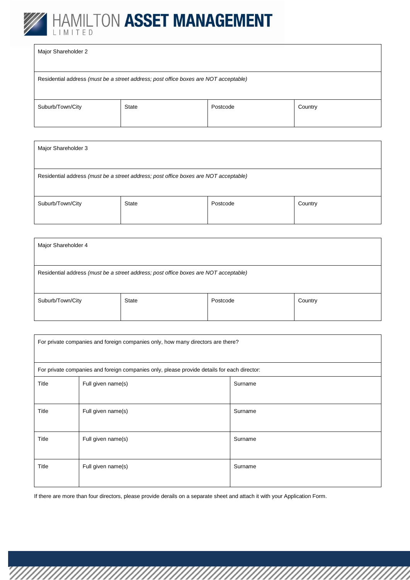![](_page_12_Picture_0.jpeg)

| Major Shareholder 2 |                                                                                      |          |         |
|---------------------|--------------------------------------------------------------------------------------|----------|---------|
|                     | Residential address (must be a street address; post office boxes are NOT acceptable) |          |         |
| Suburb/Town/City    | State                                                                                | Postcode | Country |

| Major Shareholder 3                                                                  |              |          |         |
|--------------------------------------------------------------------------------------|--------------|----------|---------|
|                                                                                      |              |          |         |
| Residential address (must be a street address; post office boxes are NOT acceptable) |              |          |         |
|                                                                                      |              |          |         |
| Suburb/Town/City                                                                     | <b>State</b> | Postcode | Country |
|                                                                                      |              |          |         |

| Major Shareholder 4                                                                  |              |          |         |
|--------------------------------------------------------------------------------------|--------------|----------|---------|
| Residential address (must be a street address; post office boxes are NOT acceptable) |              |          |         |
| Suburb/Town/City                                                                     | <b>State</b> | Postcode | Country |

| For private companies and foreign companies only, how many directors are there? |                                                                                             |         |
|---------------------------------------------------------------------------------|---------------------------------------------------------------------------------------------|---------|
|                                                                                 | For private companies and foreign companies only, please provide details for each director: |         |
| Title                                                                           | Full given name(s)                                                                          | Surname |
| Title                                                                           | Full given name(s)                                                                          | Surname |
| Title                                                                           | Full given name(s)                                                                          | Surname |
| Title                                                                           | Full given name(s)                                                                          | Surname |

If there are more than four directors, please provide derails on a separate sheet and attach it with your Application Form.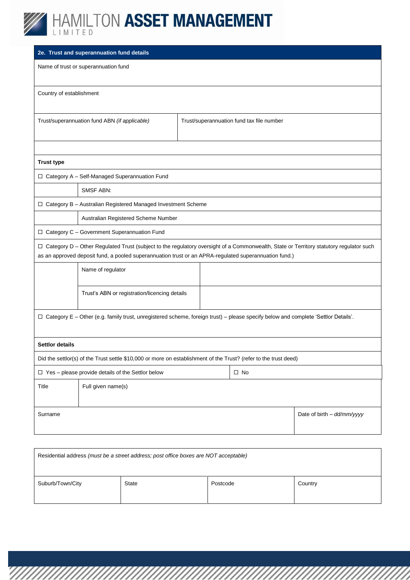![](_page_13_Picture_0.jpeg)

|                                                                                                                                     | 2e. Trust and superannuation fund details                                                                                                                                                                                                         |  |                                           |                            |  |  |  |
|-------------------------------------------------------------------------------------------------------------------------------------|---------------------------------------------------------------------------------------------------------------------------------------------------------------------------------------------------------------------------------------------------|--|-------------------------------------------|----------------------------|--|--|--|
|                                                                                                                                     | Name of trust or superannuation fund                                                                                                                                                                                                              |  |                                           |                            |  |  |  |
| Country of establishment                                                                                                            |                                                                                                                                                                                                                                                   |  |                                           |                            |  |  |  |
|                                                                                                                                     | Trust/superannuation fund ABN (if applicable)                                                                                                                                                                                                     |  | Trust/superannuation fund tax file number |                            |  |  |  |
|                                                                                                                                     |                                                                                                                                                                                                                                                   |  |                                           |                            |  |  |  |
| <b>Trust type</b>                                                                                                                   |                                                                                                                                                                                                                                                   |  |                                           |                            |  |  |  |
|                                                                                                                                     | □ Category A - Self-Managed Superannuation Fund                                                                                                                                                                                                   |  |                                           |                            |  |  |  |
|                                                                                                                                     | SMSF ABN:                                                                                                                                                                                                                                         |  |                                           |                            |  |  |  |
|                                                                                                                                     | □ Category B - Australian Registered Managed Investment Scheme                                                                                                                                                                                    |  |                                           |                            |  |  |  |
|                                                                                                                                     | Australian Registered Scheme Number                                                                                                                                                                                                               |  |                                           |                            |  |  |  |
|                                                                                                                                     | $\Box$ Category C - Government Superannuation Fund                                                                                                                                                                                                |  |                                           |                            |  |  |  |
|                                                                                                                                     | □ Category D - Other Regulated Trust (subject to the regulatory oversight of a Commonwealth, State or Territory statutory regulator such<br>as an approved deposit fund, a pooled superannuation trust or an APRA-regulated superannuation fund.) |  |                                           |                            |  |  |  |
|                                                                                                                                     | Name of regulator                                                                                                                                                                                                                                 |  |                                           |                            |  |  |  |
|                                                                                                                                     | Trust's ABN or registration/licencing details                                                                                                                                                                                                     |  |                                           |                            |  |  |  |
| □ Category E - Other (e.g. family trust, unregistered scheme, foreign trust) - please specify below and complete 'Settlor Details'. |                                                                                                                                                                                                                                                   |  |                                           |                            |  |  |  |
| <b>Settlor details</b>                                                                                                              |                                                                                                                                                                                                                                                   |  |                                           |                            |  |  |  |
| Did the settlor(s) of the Trust settle \$10,000 or more on establishment of the Trust? (refer to the trust deed)                    |                                                                                                                                                                                                                                                   |  |                                           |                            |  |  |  |
| $\Box$ Yes - please provide details of the Settlor below<br>$\square$ No                                                            |                                                                                                                                                                                                                                                   |  |                                           |                            |  |  |  |
| Title                                                                                                                               | Full given name(s)                                                                                                                                                                                                                                |  |                                           |                            |  |  |  |
| Surname                                                                                                                             |                                                                                                                                                                                                                                                   |  |                                           | Date of birth - dd/mm/yyyy |  |  |  |

| Residential address (must be a street address; post office boxes are NOT acceptable) |              |          |         |  |  |
|--------------------------------------------------------------------------------------|--------------|----------|---------|--|--|
| Suburb/Town/City                                                                     | <b>State</b> | Postcode | Country |  |  |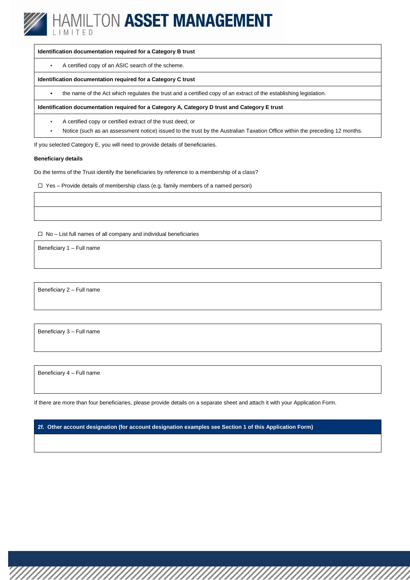![](_page_14_Picture_0.jpeg)

#### **Identification documentation required for a Category B trust**

A certified copy of an ASIC search of the scheme.

#### **Identification documentation required for a Category C trust**

the name of the Act which regulates the trust and a certified copy of an extract of the establishing legislation.

**Identification documentation required for a Category A, Category D trust and Category E trust**

- A certified copy or certified extract of the trust deed; or
- Notice (such as an assessment notice) issued to the trust by the Australian Taxation Office within the preceding 12 months.

If you selected Category E, you will need to provide details of beneficiaries.

#### **Beneficiary details**

Do the terms of the Trust identify the beneficiaries by reference to a membership of a class?

 $\Box$  Yes – Provide details of membership class (e.g. family members of a named person)

 $\Box$  No – List full names of all company and individual beneficiaries

Beneficiary 1 – Full name

Beneficiary 2 – Full name

Beneficiary 3 – Full name

Beneficiary 4 – Full name

If there are more than four beneficiaries, please provide details on a separate sheet and attach it with your Application Form.

**2f. Other account designation (for account designation examples see Section 1 of this Application Form)**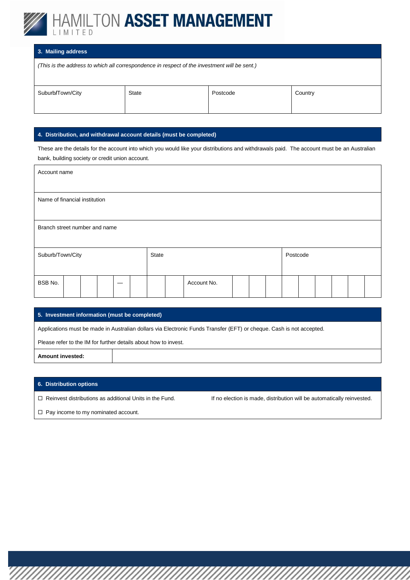![](_page_15_Picture_0.jpeg)

#### **3. Mailing address**

*(This is the address to which all correspondence in respect of the investment will be sent.)*

| Suburb/Town/City | State | Postcode | Country |
|------------------|-------|----------|---------|

#### **4. Distribution, and withdrawal account details (must be completed)**

These are the details for the account into which you would like your distributions and withdrawals paid. The account must be an Australian bank, building society or credit union account.

| Account name                  |  |  |  |  |       |  |  |             |  |          |  |  |  |  |
|-------------------------------|--|--|--|--|-------|--|--|-------------|--|----------|--|--|--|--|
| Name of financial institution |  |  |  |  |       |  |  |             |  |          |  |  |  |  |
| Branch street number and name |  |  |  |  |       |  |  |             |  |          |  |  |  |  |
| Suburb/Town/City              |  |  |  |  | State |  |  |             |  | Postcode |  |  |  |  |
| BSB No.                       |  |  |  |  |       |  |  | Account No. |  |          |  |  |  |  |

#### **5. Investment information (must be completed)**

Applications must be made in Australian dollars via Electronic Funds Transfer (EFT) or cheque. Cash is not accepted.

Please refer to the IM for further details about how to invest.

**Amount invested:**

#### **6. Distribution options**

□ Reinvest distributions as additional Units in the Fund. If no election is made, distribution will be automatically reinvested.

 $\Box$  Pay income to my nominated account.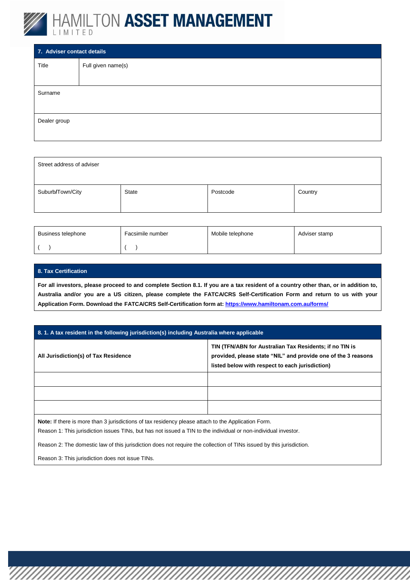![](_page_16_Picture_0.jpeg)

| 7. Adviser contact details |                    |  |  |  |  |  |  |
|----------------------------|--------------------|--|--|--|--|--|--|
| Title                      | Full given name(s) |  |  |  |  |  |  |
|                            |                    |  |  |  |  |  |  |
| Surname                    |                    |  |  |  |  |  |  |
|                            |                    |  |  |  |  |  |  |
| Dealer group               |                    |  |  |  |  |  |  |
|                            |                    |  |  |  |  |  |  |

| Street address of adviser |       |          |         |
|---------------------------|-------|----------|---------|
| Suburb/Town/City          | State | Postcode | Country |

| Business telephone | Facsimile number | Mobile telephone | Adviser stamp |
|--------------------|------------------|------------------|---------------|
|                    |                  |                  |               |

#### **8. Tax Certification**

**For all investors, please proceed to and complete Section 8.1. If you are a tax resident of a country other than, or in addition to, Australia and/or you are a US citizen, please complete the FATCA/CRS Self-Certification Form and return to us with your Application Form. Download the FATCA/CRS Self-Certification form at[: https://www.hamiltonam.com.au/forms/](https://www.hamiltonam.com.au/forms/)**

#### **8. 1. A tax resident in the following jurisdiction(s) including Australia where applicable**

| All Jurisdiction(s) of Tax Residence                                                              | TIN (TFN/ABN for Australian Tax Residents; if no TIN is<br>provided, please state "NIL" and provide one of the 3 reasons<br>listed below with respect to each jurisdiction) |  |  |  |
|---------------------------------------------------------------------------------------------------|-----------------------------------------------------------------------------------------------------------------------------------------------------------------------------|--|--|--|
|                                                                                                   |                                                                                                                                                                             |  |  |  |
|                                                                                                   |                                                                                                                                                                             |  |  |  |
|                                                                                                   |                                                                                                                                                                             |  |  |  |
| Note If there is more than 3 jurisdictions of tay residency please attach to the Application Form |                                                                                                                                                                             |  |  |  |

ore than 3 jurisdictions of tax residency please attach to the Application Form.

Reason 1: This jurisdiction issues TINs, but has not issued a TIN to the individual or non-individual investor.

Reason 2: The domestic law of this jurisdiction does not require the collection of TINs issued by this jurisdiction.

Reason 3: This jurisdiction does not issue TINs.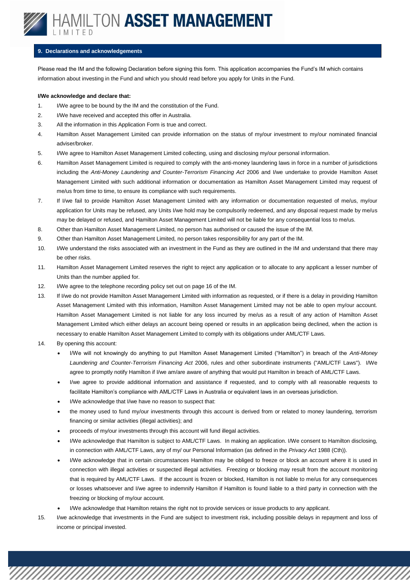![](_page_17_Picture_0.jpeg)

#### **9. Declarations and acknowledgements**

Please read the IM and the following Declaration before signing this form. This application accompanies the Fund's IM which contains information about investing in the Fund and which you should read before you apply for Units in the Fund.

#### **I/We acknowledge and declare that:**

- 1. I/We agree to be bound by the IM and the constitution of the Fund.
- 2. I/We have received and accepted this offer in Australia.
- 3. All the information in this Application Form is true and correct.
- 4. Hamilton Asset Management Limited can provide information on the status of my/our investment to my/our nominated financial adviser/broker.
- 5. I/We agree to Hamilton Asset Management Limited collecting, using and disclosing my/our personal information.
- 6. Hamilton Asset Management Limited is required to comply with the anti-money laundering laws in force in a number of jurisdictions including the *Anti-Money Laundering and Counter-Terrorism Financing Act* 2006 and I/we undertake to provide Hamilton Asset Management Limited with such additional information or documentation as Hamilton Asset Management Limited may request of me/us from time to time, to ensure its compliance with such requirements.
- 7. If I/we fail to provide Hamilton Asset Management Limited with any information or documentation requested of me/us, my/our application for Units may be refused, any Units I/we hold may be compulsorily redeemed, and any disposal request made by me/us may be delayed or refused, and Hamilton Asset Management Limited will not be liable for any consequential loss to me/us.
- 8. Other than Hamilton Asset Management Limited, no person has authorised or caused the issue of the IM.
- 9. Other than Hamilton Asset Management Limited, no person takes responsibility for any part of the IM.
- 10. I/We understand the risks associated with an investment in the Fund as they are outlined in the IM and understand that there may be other risks.
- 11. Hamilton Asset Management Limited reserves the right to reject any application or to allocate to any applicant a lesser number of Units than the number applied for.
- 12. I/We agree to the telephone recording policy set out on page 16 of the IM.
- 13. If I/we do not provide Hamilton Asset Management Limited with information as requested, or if there is a delay in providing Hamilton Asset Management Limited with this information, Hamilton Asset Management Limited may not be able to open my/our account. Hamilton Asset Management Limited is not liable for any loss incurred by me/us as a result of any action of Hamilton Asset Management Limited which either delays an account being opened or results in an application being declined, when the action is necessary to enable Hamilton Asset Management Limited to comply with its obligations under AML/CTF Laws.
- 14. By opening this account:
	- I/We will not knowingly do anything to put Hamilton Asset Management Limited ("Hamilton") in breach of the *Anti-Money Laundering and Counter-Terrorism Financing Act* 2006, rules and other subordinate instruments ("AML/CTF Laws"). I/We agree to promptly notify Hamilton if I/we am/are aware of anything that would put Hamilton in breach of AML/CTF Laws.
	- I/we agree to provide additional information and assistance if requested, and to comply with all reasonable requests to facilitate Hamilton's compliance with AML/CTF Laws in Australia or equivalent laws in an overseas jurisdiction.
	- I/We acknowledge that I/we have no reason to suspect that:
	- the money used to fund my/our investments through this account is derived from or related to money laundering, terrorism financing or similar activities (illegal activities); and
	- proceeds of my/our investments through this account will fund illegal activities.
	- I/We acknowledge that Hamilton is subject to AML/CTF Laws. In making an application. I/We consent to Hamilton disclosing, in connection with AML/CTF Laws, any of my/ our Personal Information (as defined in the *Privacy Act* 1988 (Cth)).
	- I/We acknowledge that in certain circumstances Hamilton may be obliged to freeze or block an account where it is used in connection with illegal activities or suspected illegal activities. Freezing or blocking may result from the account monitoring that is required by AML/CTF Laws. If the account is frozen or blocked, Hamilton is not liable to me/us for any consequences or losses whatsoever and I/we agree to indemnify Hamilton if Hamilton is found liable to a third party in connection with the freezing or blocking of my/our account.
		- I/We acknowledge that Hamilton retains the right not to provide services or issue products to any applicant.
- 15. I/we acknowledge that investments in the Fund are subject to investment risk, including possible delays in repayment and loss of income or principal invested.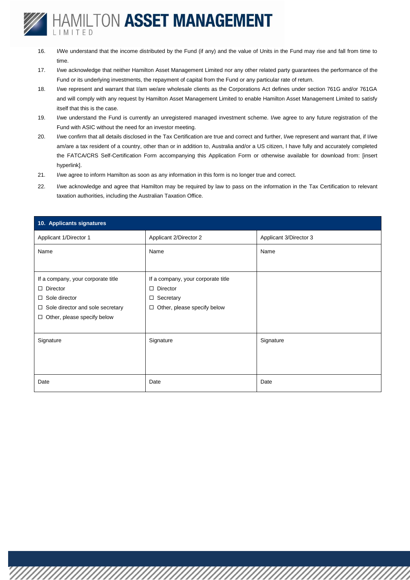- 16. I/We understand that the income distributed by the Fund (if any) and the value of Units in the Fund may rise and fall from time to time.
- 17. I/we acknowledge that neither Hamilton Asset Management Limited nor any other related party guarantees the performance of the Fund or its underlying investments, the repayment of capital from the Fund or any particular rate of return.
- 18. I/we represent and warrant that I/am we/are wholesale clients as the Corporations Act defines under section 761G and/or 761GA and will comply with any request by Hamilton Asset Management Limited to enable Hamilton Asset Management Limited to satisfy itself that this is the case.
- 19. I/we understand the Fund is currently an unregistered managed investment scheme. I/we agree to any future registration of the Fund with ASIC without the need for an investor meeting.
- 20. I/we confirm that all details disclosed in the Tax Certification are true and correct and further, I/we represent and warrant that, if I/we am/are a tax resident of a country, other than or in addition to, Australia and/or a US citizen, I have fully and accurately completed the FATCA/CRS Self-Certification Form accompanying this Application Form or otherwise available for download from: [insert hyperlink].
- 21. I/we agree to inform Hamilton as soon as any information in this form is no longer true and correct.
- 22. I/we acknowledge and agree that Hamilton may be required by law to pass on the information in the Tax Certification to relevant taxation authorities, including the Australian Taxation Office.

| 10. Applicants signatures               |                                       |                        |
|-----------------------------------------|---------------------------------------|------------------------|
| Applicant 1/Director 1                  | Applicant 2/Director 2                | Applicant 3/Director 3 |
| Name                                    | Name                                  | Name                   |
|                                         |                                       |                        |
| If a company, your corporate title      | If a company, your corporate title    |                        |
| $\Box$ Director                         | Director<br>$\Box$                    |                        |
| $\Box$ Sole director                    | Secretary<br>$\Box$                   |                        |
| $\Box$ Sole director and sole secretary | Other, please specify below<br>$\Box$ |                        |
| $\Box$ Other, please specify below      |                                       |                        |
|                                         |                                       |                        |
| Signature                               | Signature                             | Signature              |
|                                         |                                       |                        |
|                                         |                                       |                        |
|                                         |                                       |                        |
| Date                                    | Date                                  | Date                   |